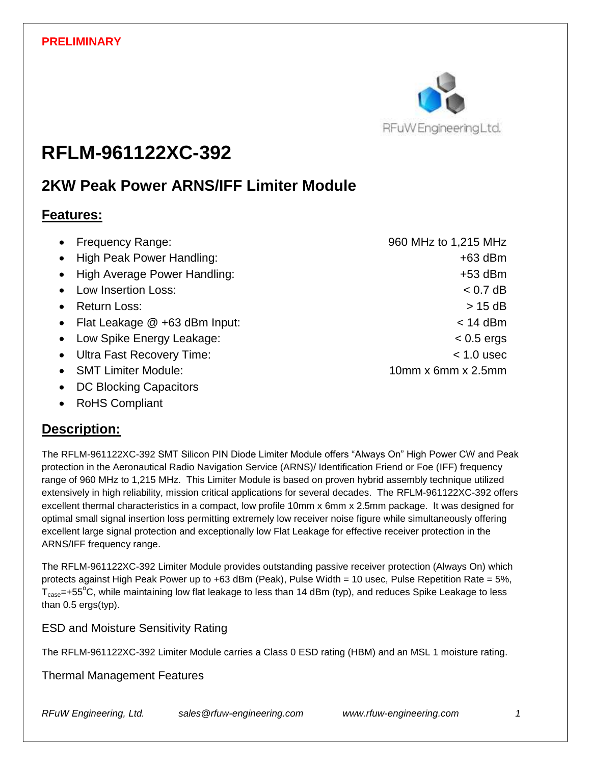

# **RFLM-961122XC-392**

## **2KW Peak Power ARNS/IFF Limiter Module**

## **Features:**

|           | • Frequency Range:                | 960 MHz to 1,215 MHz |
|-----------|-----------------------------------|----------------------|
|           | • High Peak Power Handling:       | $+63$ dBm            |
|           | • High Average Power Handling:    | $+53$ dBm            |
|           | • Low Insertion Loss:             | $< 0.7$ dB           |
| $\bullet$ | <b>Return Loss:</b>               | $> 15$ dB            |
|           | • Flat Leakage $@$ +63 dBm Input: | $<$ 14 dBm           |
|           | • Low Spike Energy Leakage:       | $< 0.5$ ergs         |
|           | • Ultra Fast Recovery Time:       | $< 1.0$ usec         |
| $\bullet$ | <b>SMT Limiter Module:</b>        | 10mm x 6mm x 2.5mm   |

- DC Blocking Capacitors
- RoHS Compliant

## **Description:**

The RFLM-961122XC-392 SMT Silicon PIN Diode Limiter Module offers "Always On" High Power CW and Peak protection in the Aeronautical Radio Navigation Service (ARNS)/ Identification Friend or Foe (IFF) frequency range of 960 MHz to 1,215 MHz. This Limiter Module is based on proven hybrid assembly technique utilized extensively in high reliability, mission critical applications for several decades. The RFLM-961122XC-392 offers excellent thermal characteristics in a compact, low profile 10mm x 6mm x 2.5mm package. It was designed for optimal small signal insertion loss permitting extremely low receiver noise figure while simultaneously offering excellent large signal protection and exceptionally low Flat Leakage for effective receiver protection in the ARNS/IFF frequency range.

The RFLM-961122XC-392 Limiter Module provides outstanding passive receiver protection (Always On) which protects against High Peak Power up to +63 dBm (Peak), Pulse Width = 10 usec, Pulse Repetition Rate = 5%,  $T_{\text{case}}$ =+55°C, while maintaining low flat leakage to less than 14 dBm (typ), and reduces Spike Leakage to less than 0.5 ergs(typ).

### ESD and Moisture Sensitivity Rating

The RFLM-961122XC-392 Limiter Module carries a Class 0 ESD rating (HBM) and an MSL 1 moisture rating.

Thermal Management Features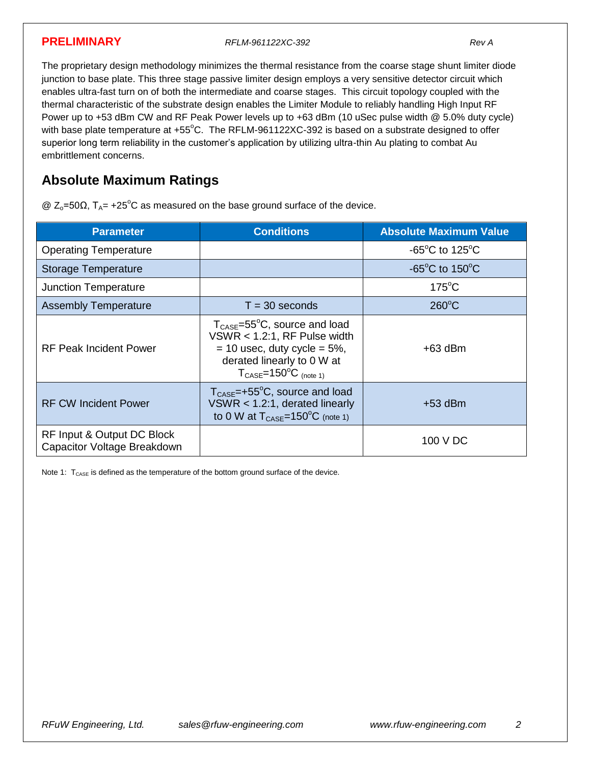**PRELIMINARY** *RFLM-961122XC-392 Rev A*

The proprietary design methodology minimizes the thermal resistance from the coarse stage shunt limiter diode junction to base plate. This three stage passive limiter design employs a very sensitive detector circuit which enables ultra-fast turn on of both the intermediate and coarse stages. This circuit topology coupled with the thermal characteristic of the substrate design enables the Limiter Module to reliably handling High Input RF Power up to +53 dBm CW and RF Peak Power levels up to +63 dBm (10 uSec pulse width @ 5.0% duty cycle) with base plate temperature at +55°C. The RFLM-961122XC-392 is based on a substrate designed to offer superior long term reliability in the customer's application by utilizing ultra-thin Au plating to combat Au embrittlement concerns.

## **Absolute Maximum Ratings**

 $@ Z<sub>o</sub>=50Ω, T<sub>A</sub>= +25<sup>°</sup>C as measured on the base ground surface of the device.$ 

| <b>Parameter</b>                                          | <b>Conditions</b>                                                                                                                                                                                          | <b>Absolute Maximum Value</b>                        |
|-----------------------------------------------------------|------------------------------------------------------------------------------------------------------------------------------------------------------------------------------------------------------------|------------------------------------------------------|
| <b>Operating Temperature</b>                              |                                                                                                                                                                                                            | -65 $^{\circ}$ C to 125 $^{\circ}$ C                 |
| <b>Storage Temperature</b>                                |                                                                                                                                                                                                            | -65 $\mathrm{^{\circ}C}$ to 150 $\mathrm{^{\circ}C}$ |
| <b>Junction Temperature</b>                               |                                                                                                                                                                                                            | $175^{\circ}$ C                                      |
| <b>Assembly Temperature</b>                               | $T = 30$ seconds                                                                                                                                                                                           | $260^{\circ}$ C                                      |
| <b>RF Peak Incident Power</b>                             | $T_{\text{CASE}} = 55^{\circ}C$ , source and load<br>VSWR $<$ 1.2:1, RF Pulse width<br>$=$ 10 usec, duty cycle $=$ 5%,<br>derated linearly to 0 W at<br>$T_{\text{CASE}} = 150^{\circ}C_{\text{(note 1)}}$ | $+63$ dBm                                            |
| <b>RF CW Incident Power</b>                               | $T_{\text{CASE}} = +55^{\circ}C$ , source and load<br>VSWR $<$ 1.2:1, derated linearly<br>to 0 W at $T_{\text{CASE}} = 150^{\circ}C$ (note 1)                                                              | $+53$ dBm                                            |
| RF Input & Output DC Block<br>Capacitor Voltage Breakdown |                                                                                                                                                                                                            | 100 V DC                                             |

Note 1:  $T_{\text{CASE}}$  is defined as the temperature of the bottom ground surface of the device.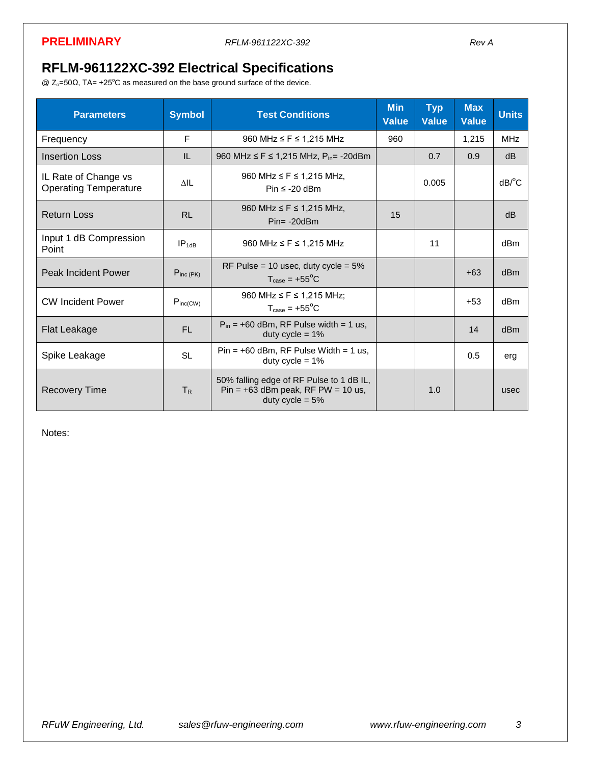## **RFLM-961122XC-392 Electrical Specifications**

 $@$  Z<sub>o</sub>=50Ω, TA= +25°C as measured on the base ground surface of the device.

| <b>Parameters</b>                                    | <b>Symbol</b>  | <b>Test Conditions</b>                                                                                | <b>Min</b><br><b>Value</b> | <b>Typ</b><br><b>Value</b> | <b>Max</b><br><b>Value</b> | <b>Units</b>          |
|------------------------------------------------------|----------------|-------------------------------------------------------------------------------------------------------|----------------------------|----------------------------|----------------------------|-----------------------|
| Frequency                                            | F              | 960 MHz $\leq$ F $\leq$ 1,215 MHz                                                                     | 960                        |                            | 1,215                      | <b>MHz</b>            |
| <b>Insertion Loss</b>                                | IL             | 960 MHz $\leq$ F $\leq$ 1,215 MHz, P <sub>in</sub> = -20dBm                                           |                            | 0.7                        | 0.9                        | dB                    |
| IL Rate of Change vs<br><b>Operating Temperature</b> | $\triangle$ IL | 960 MHz $\leq$ F $\leq$ 1,215 MHz,<br>Pin $\leq$ -20 dBm                                              |                            | 0.005                      |                            | $dB$ <sup>o</sup> $C$ |
| <b>Return Loss</b>                                   | <b>RL</b>      | 960 MHz $\leq$ F $\leq$ 1,215 MHz,<br>$Pin = -20dBm$                                                  | 15                         |                            |                            | dB                    |
| Input 1 dB Compression<br>Point                      | $IP_{1dB}$     | 960 MHz $\leq$ F $\leq$ 1,215 MHz                                                                     |                            | 11                         |                            | dBm                   |
| <b>Peak Incident Power</b>                           | $P_{inc(PK)}$  | RF Pulse = 10 usec, duty cycle = $5\%$<br>$T_{\text{case}} = +55^{\circ}$ C                           |                            |                            | $+63$                      | d <sub>Bm</sub>       |
| <b>CW Incident Power</b>                             | $P_{inc(CW)}$  | 960 MHz ≤ F ≤ 1,215 MHz;<br>$T_{\text{case}} = +55^{\circ}C$                                          |                            |                            | $+53$                      | dB <sub>m</sub>       |
| <b>Flat Leakage</b>                                  | FL.            | $P_{in}$ = +60 dBm, RF Pulse width = 1 us,<br>duty cycle = $1\%$                                      |                            |                            | 14                         | d <sub>Bm</sub>       |
| Spike Leakage                                        | <b>SL</b>      | $Pin = +60$ dBm, RF Pulse Width = 1 us,<br>duty cycle = $1\%$                                         |                            |                            | 0.5                        | erg                   |
| <b>Recovery Time</b>                                 | T <sub>R</sub> | 50% falling edge of RF Pulse to 1 dB IL,<br>Pin = $+63$ dBm peak, RF PW = 10 us,<br>duty cycle = $5%$ |                            | 1.0                        |                            | usec                  |

Notes: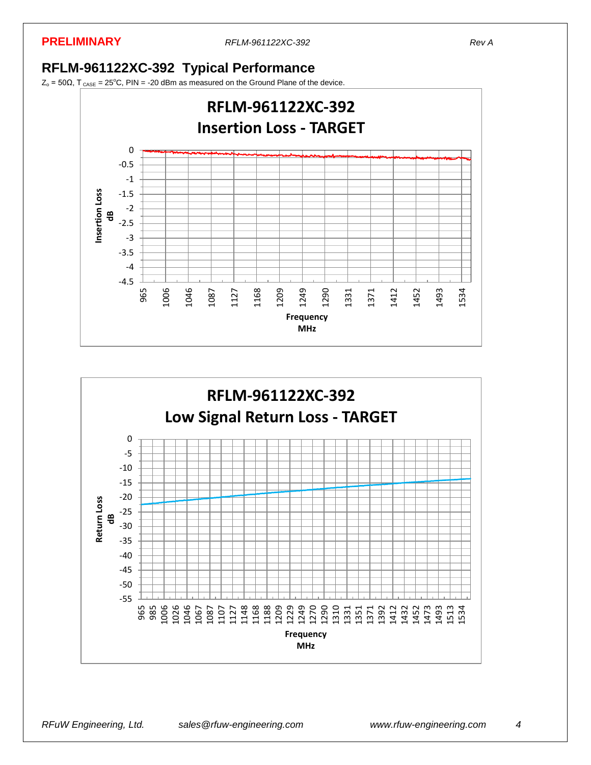#### **PRELIMINARY** *RFLM-961122XC-392 Rev A*

## **RFLM-961122XC-392 Typical Performance**

 $Z_0 = 50\Omega$ , T<sub>CASE</sub> = 25<sup>o</sup>C, PIN = -20 dBm as measured on the Ground Plane of the device.



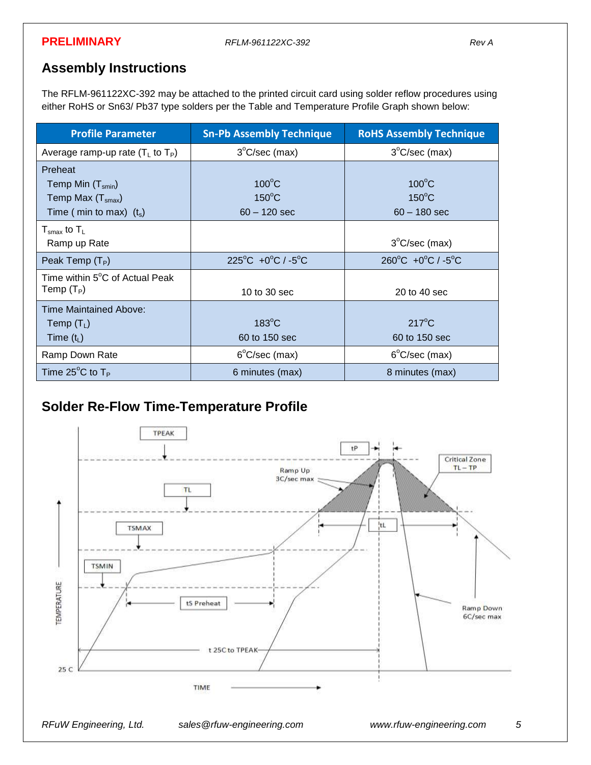#### **PRELIMINARY** *RFLM-961122XC-392 Rev A*

## **Assembly Instructions**

The RFLM-961122XC-392 may be attached to the printed circuit card using solder reflow procedures using either RoHS or Sn63/ Pb37 type solders per the Table and Temperature Profile Graph shown below:

| <b>Profile Parameter</b>                                                                      | <b>Sn-Pb Assembly Technique</b>                      | <b>RoHS Assembly Technique</b>                       |
|-----------------------------------------------------------------------------------------------|------------------------------------------------------|------------------------------------------------------|
| Average ramp-up rate $(T_L$ to $T_P$ )                                                        | $3^{\circ}$ C/sec (max)                              | $3^{\circ}$ C/sec (max)                              |
| Preheat<br>Temp Min $(T_{smin})$<br>Temp Max $(T_{\text{smax}})$<br>Time (min to max) $(t_s)$ | $100^{\circ}$ C<br>$150^{\circ}$ C<br>$60 - 120$ sec | $100^{\circ}$ C<br>$150^{\circ}$ C<br>$60 - 180$ sec |
| $T_{\rm smax}$ to $T_{\rm L}$<br>Ramp up Rate                                                 |                                                      | $3^{\circ}$ C/sec (max)                              |
| Peak Temp $(T_P)$                                                                             | $225^{\circ}$ C +0 $^{\circ}$ C / -5 $^{\circ}$ C    | $260^{\circ}$ C +0 $^{\circ}$ C / -5 $^{\circ}$ C    |
| Time within 5°C of Actual Peak<br>Temp $(T_P)$                                                | 10 to 30 sec                                         | 20 to 40 sec                                         |
| Time Maintained Above:<br>Temp $(T_L)$<br>Time $(t_L)$                                        | $183^{\circ}$ C<br>60 to 150 sec                     | $217^{\circ}$ C<br>60 to 150 sec                     |
| Ramp Down Rate                                                                                | $6^{\circ}$ C/sec (max)                              | $6^{\circ}$ C/sec (max)                              |
| Time $25^{\circ}$ C to T <sub>P</sub>                                                         | 6 minutes (max)                                      | 8 minutes (max)                                      |

## **Solder Re-Flow Time-Temperature Profile**

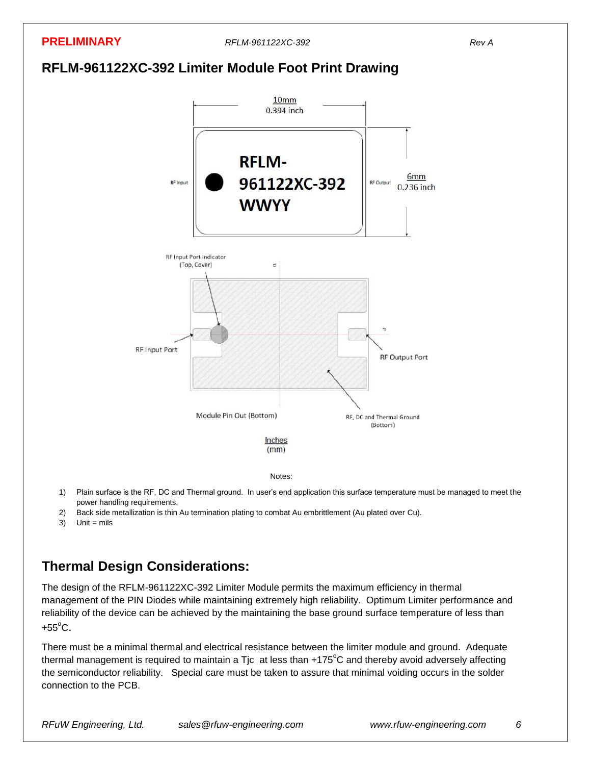

- power handling requirements.
- 2) Back side metallization is thin Au termination plating to combat Au embrittlement (Au plated over Cu).
- $3)$  Unit = mils

## **Thermal Design Considerations:**

The design of the RFLM-961122XC-392 Limiter Module permits the maximum efficiency in thermal management of the PIN Diodes while maintaining extremely high reliability. Optimum Limiter performance and reliability of the device can be achieved by the maintaining the base ground surface temperature of less than +55 $^{\circ}$ C.

There must be a minimal thermal and electrical resistance between the limiter module and ground. Adequate thermal management is required to maintain a Tic at less than  $+175^{\circ}$ C and thereby avoid adversely affecting the semiconductor reliability. Special care must be taken to assure that minimal voiding occurs in the solder connection to the PCB.